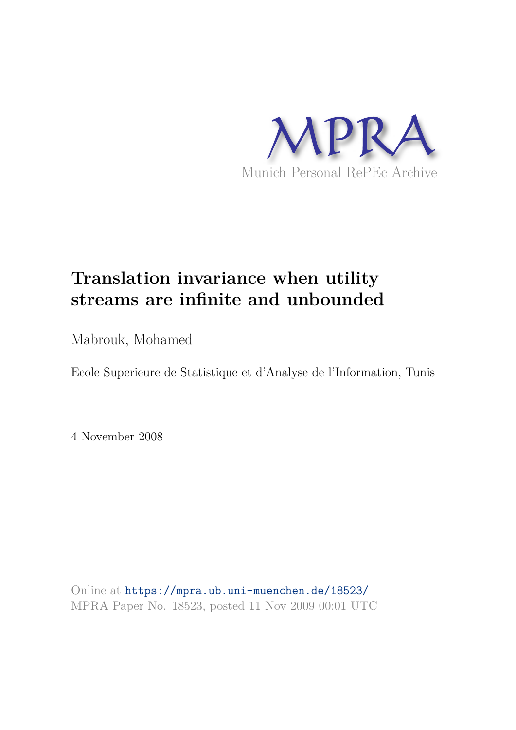

# **Translation invariance when utility streams are infinite and unbounded**

Mabrouk, Mohamed

Ecole Superieure de Statistique et d'Analyse de l'Information, Tunis

4 November 2008

Online at https://mpra.ub.uni-muenchen.de/18523/ MPRA Paper No. 18523, posted 11 Nov 2009 00:01 UTC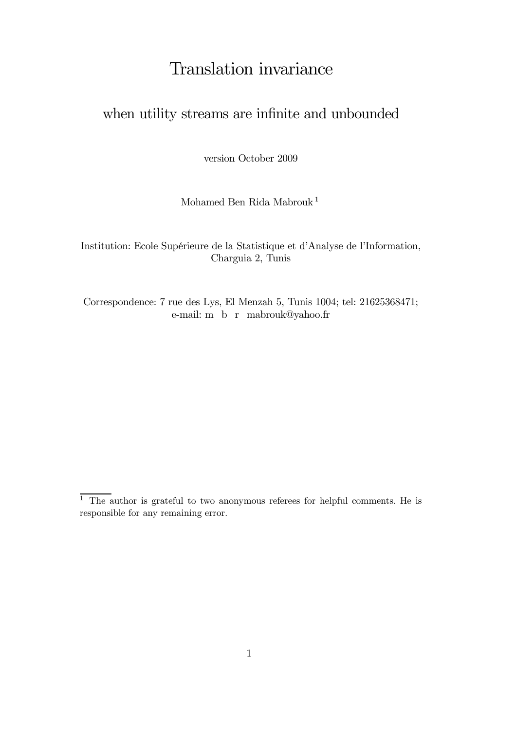# Translation invariance

# when utility streams are infinite and unbounded

version October 2009

Mohamed Ben Rida Mabrouk <sup>1</sup>

Institution: Ecole Supérieure de la Statistique et d'Analyse de l'Information, Charguia 2, Tunis

Correspondence: 7 rue des Lys, El Menzah 5, Tunis 1004; tel: 21625368471; e-mail: m\_b\_r\_mabrouk@yahoo.fr

 $\overline{1}$  The author is grateful to two anonymous referees for helpful comments. He is responsible for any remaining error.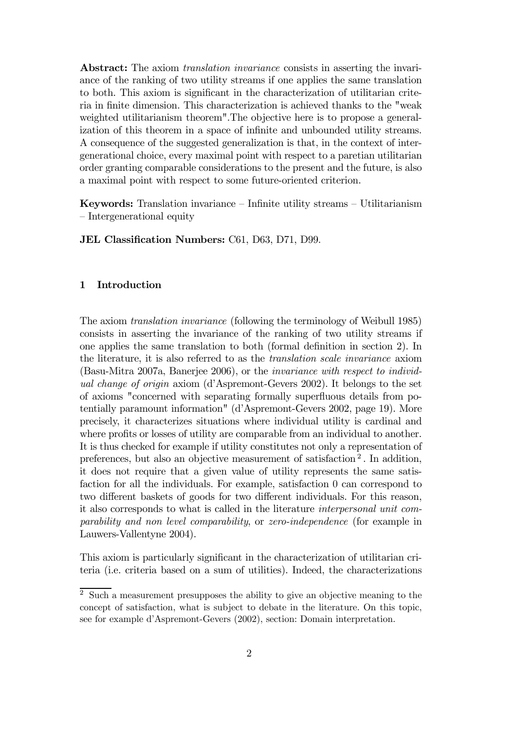Abstract: The axiom *translation invariance* consists in asserting the invariance of the ranking of two utility streams if one applies the same translation to both. This axiom is significant in the characterization of utilitarian criteria in finite dimension. This characterization is achieved thanks to the "weak weighted utilitarianism theorem".The objective here is to propose a generalization of this theorem in a space of infinite and unbounded utility streams. A consequence of the suggested generalization is that, in the context of intergenerational choice, every maximal point with respect to a paretian utilitarian order granting comparable considerations to the present and the future, is also a maximal point with respect to some future-oriented criterion.

Keywords: Translation invariance — Infinite utility streams — Utilitarianism — Intergenerational equity

JEL Classification Numbers: C61, D63, D71, D99.

## 1 Introduction

The axiom *translation invariance* (following the terminology of Weibull 1985) consists in asserting the invariance of the ranking of two utility streams if one applies the same translation to both (formal definition in section 2). In the literature, it is also referred to as the *translation scale invariance* axiom (Basu-Mitra 2007a, Banerjee 2006), or the *invariance with respect to individual change of origin* axiom (d'Aspremont-Gevers 2002). It belongs to the set of axioms "concerned with separating formally superfluous details from potentially paramount information" (d'Aspremont-Gevers 2002, page 19). More precisely, it characterizes situations where individual utility is cardinal and where profits or losses of utility are comparable from an individual to another. It is thus checked for example if utility constitutes not only a representation of preferences, but also an objective measurement of satisfaction<sup>2</sup>. In addition, it does not require that a given value of utility represents the same satisfaction for all the individuals. For example, satisfaction 0 can correspond to two different baskets of goods for two different individuals. For this reason, it also corresponds to what is called in the literature *interpersonal unit comparability and non level comparability*, or *zero-independence* (for example in Lauwers-Vallentyne 2004).

This axiom is particularly significant in the characterization of utilitarian criteria (i.e. criteria based on a sum of utilities). Indeed, the characterizations

<sup>2</sup> Such a measurement presupposes the ability to give an objective meaning to the concept of satisfaction, what is subject to debate in the literature. On this topic, see for example d'Aspremont-Gevers (2002), section: Domain interpretation.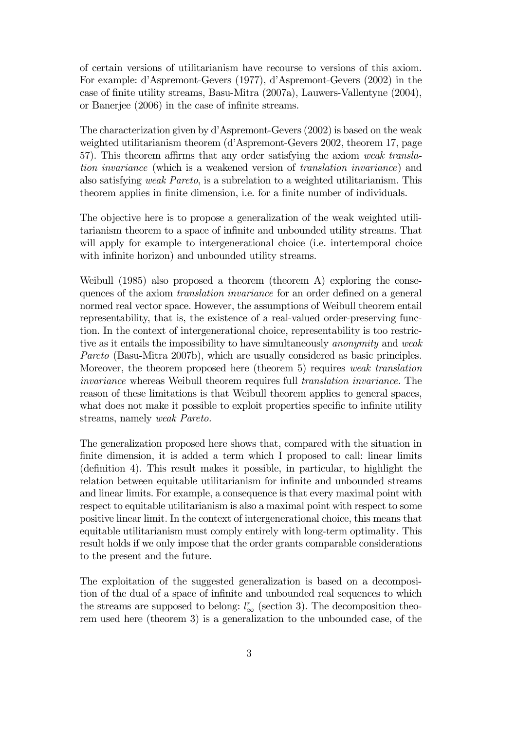of certain versions of utilitarianism have recourse to versions of this axiom. For example: d'Aspremont-Gevers (1977), d'Aspremont-Gevers (2002) in the case of finite utility streams, Basu-Mitra (2007a), Lauwers-Vallentyne (2004), or Banerjee (2006) in the case of infinite streams.

The characterization given by d'Aspremont-Gevers (2002) is based on the weak weighted utilitarianism theorem (d'Aspremont-Gevers 2002, theorem 17, page 57). This theorem affirms that any order satisfying the axiom *weak translation invariance* (which is a weakened version of *translation invariance*) and also satisfying *weak Pareto*, is a subrelation to a weighted utilitarianism. This theorem applies in finite dimension, i.e. for a finite number of individuals.

The objective here is to propose a generalization of the weak weighted utilitarianism theorem to a space of infinite and unbounded utility streams. That will apply for example to intergenerational choice (i.e. intertemporal choice with infinite horizon) and unbounded utility streams.

Weibull (1985) also proposed a theorem (theorem A) exploring the consequences of the axiom *translation invariance* for an order defined on a general normed real vector space. However, the assumptions of Weibull theorem entail representability, that is, the existence of a real-valued order-preserving function. In the context of intergenerational choice, representability is too restrictive as it entails the impossibility to have simultaneously *anonymity* and *weak Pareto* (Basu-Mitra 2007b), which are usually considered as basic principles. Moreover, the theorem proposed here (theorem 5) requires *weak translation invariance* whereas Weibull theorem requires full *translation invariance.* The reason of these limitations is that Weibull theorem applies to general spaces, what does not make it possible to exploit properties specific to infinite utility streams, namely *weak Pareto.*

The generalization proposed here shows that, compared with the situation in finite dimension, it is added a term which I proposed to call: linear limits (definition 4). This result makes it possible, in particular, to highlight the relation between equitable utilitarianism for infinite and unbounded streams and linear limits. For example, a consequence is that every maximal point with respect to equitable utilitarianism is also a maximal point with respect to some positive linear limit. In the context of intergenerational choice, this means that equitable utilitarianism must comply entirely with long-term optimality*.* This result holds if we only impose that the order grants comparable considerations to the present and the future.

The exploitation of the suggested generalization is based on a decomposition of the dual of a space of infinite and unbounded real sequences to which the streams are supposed to belong:  $l_{\infty}^{r}$  (section 3). The decomposition theorem used here (theorem 3) is a generalization to the unbounded case, of the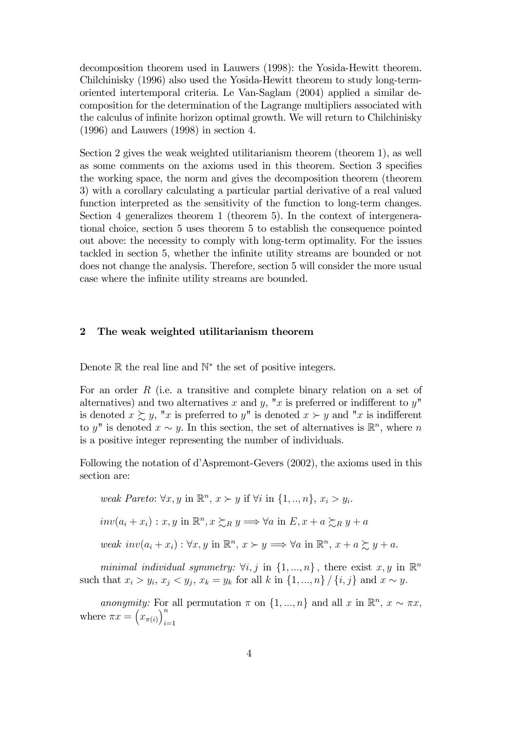decomposition theorem used in Lauwers (1998): the Yosida-Hewitt theorem. Chilchinisky (1996) also used the Yosida-Hewitt theorem to study long-termoriented intertemporal criteria. Le Van-Saglam (2004) applied a similar decomposition for the determination of the Lagrange multipliers associated with the calculus of infinite horizon optimal growth. We will return to Chilchinisky (1996) and Lauwers (1998) in section 4.

Section 2 gives the weak weighted utilitarianism theorem (theorem 1), as well as some comments on the axioms used in this theorem. Section 3 specifies the working space, the norm and gives the decomposition theorem (theorem 3) with a corollary calculating a particular partial derivative of a real valued function interpreted as the sensitivity of the function to long-term changes. Section 4 generalizes theorem 1 (theorem 5). In the context of intergenerational choice, section 5 uses theorem 5 to establish the consequence pointed out above: the necessity to comply with long-term optimality. For the issues tackled in section 5, whether the infinite utility streams are bounded or not does not change the analysis. Therefore, section 5 will consider the more usual case where the infinite utility streams are bounded.

## 2 The weak weighted utilitarianism theorem

Denote ℝ the real line and N<sup>\*</sup> the set of positive integers.

For an order  $R$  (i.e. a transitive and complete binary relation on a set of alternatives) and two alternatives x and y, "x is preferred or indifferent to  $y$ " is denoted  $x \succeq y$ , "x is preferred to y" is denoted  $x \succ y$  and "x is indifferent to y" is denoted  $x \sim y$ . In this section, the set of alternatives is  $\mathbb{R}^n$ , where n is a positive integer representing the number of individuals.

Following the notation of d'Aspremont-Gevers (2002), the axioms used in this section are:

weak Pareto: 
$$
\forall x, y
$$
 in  $\mathbb{R}^n$ ,  $x \succ y$  if  $\forall i$  in  $\{1, ..., n\}$ ,  $x_i > y_i$ .  
\n
$$
inv(a_i + x_i) : x, y
$$
 in  $\mathbb{R}^n$ ,  $x \succsim_R y \Longrightarrow \forall a$  in  $E$ ,  $x + a \succsim_R y + a$   
\nweak  $inv(a_i + x_i) : \forall x, y$  in  $\mathbb{R}^n$ ,  $x \succ y \Longrightarrow \forall a$  in  $\mathbb{R}^n$ ,  $x + a \succsim y + a$ .

*minimal individual symmetry:*  $\forall i, j$  in  $\{1, ..., n\}$ , there exist  $x, y$  in  $\mathbb{R}^n$ such that  $x_i > y_i$ ,  $x_j < y_j$ ,  $x_k = y_k$  for all k in  $\{1, ..., n\} / \{i, j\}$  and  $x \sim y$ .

*anonymity:* For all permutation  $\pi$  on  $\{1, ..., n\}$  and all x in  $\mathbb{R}^n$ ,  $x \sim \pi x$ , where  $\pi x = (x_{\pi(i)})^n$ .  $i=1$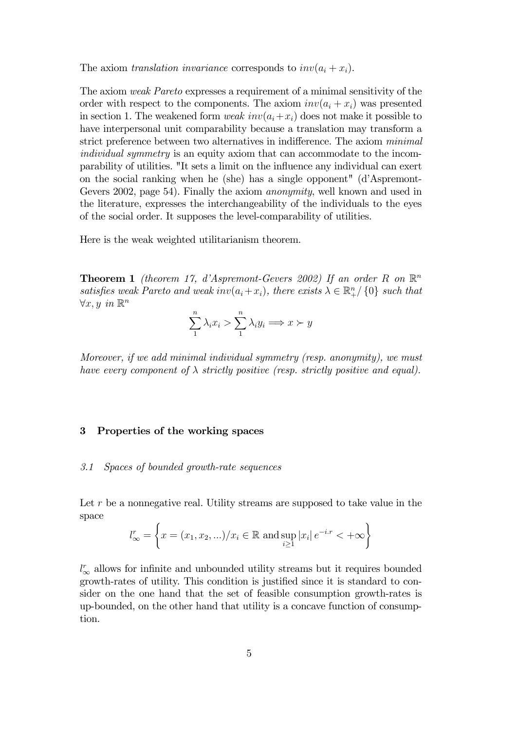The axiom *translation invariance* corresponds to  $inv(a_i + x_i)$ .

The axiom *weak Pareto* expresses a requirement of a minimal sensitivity of the order with respect to the components. The axiom  $inv(a_i + x_i)$  was presented in section 1. The weakened form *weak*  $inv(a_i+x_i)$  does not make it possible to have interpersonal unit comparability because a translation may transform a strict preference between two alternatives in indifference. The axiom *minimal individual symmetry* is an equity axiom that can accommodate to the incomparability of utilities. "It sets a limit on the influence any individual can exert on the social ranking when he (she) has a single opponent" (d'Aspremont-Gevers 2002, page 54). Finally the axiom *anonymity*, well known and used in the literature, expresses the interchangeability of the individuals to the eyes of the social order. It supposes the level-comparability of utilities.

Here is the weak weighted utilitarianism theorem.

**Theorem 1** *(theorem 17, d'Aspremont-Gevers 2002)* If an order R on  $\mathbb{R}^n$ *satisfies weak Pareto and weak inv* $(a_i + x_i)$ *, there exists*  $\lambda \in \mathbb{R}^n_+ / \{0\}$  *such that*  $∀x, y$  *in*  $\mathbb{R}^n$ 

$$
\sum_{1}^{n} \lambda_i x_i > \sum_{1}^{n} \lambda_i y_i \Longrightarrow x \succ y
$$

*Moreover, if we add minimal individual symmetry (resp. anonymity), we must have every component of* λ *strictly positive (resp. strictly positive and equal).*

# 3 Properties of the working spaces

#### *3.1 Spaces of bounded growth-rate sequences*

Let  $r$  be a nonnegative real. Utility streams are supposed to take value in the space

$$
l_{\infty}^{r} = \left\{ x = (x_1, x_2, \ldots) / x_i \in \mathbb{R} \text{ and } \sup_{i \ge 1} |x_i| e^{-i \cdot r} < +\infty \right\}
$$

 $l_{\infty}^{r}$  allows for infinite and unbounded utility streams but it requires bounded growth-rates of utility. This condition is justified since it is standard to consider on the one hand that the set of feasible consumption growth-rates is up-bounded, on the other hand that utility is a concave function of consumption.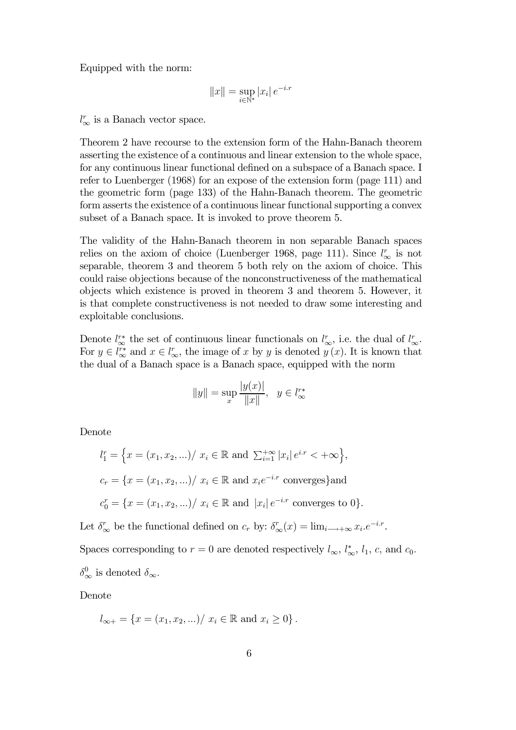Equipped with the norm:

$$
||x|| = \sup_{i \in \mathbb{N}^*} |x_i| \, e^{-i \cdot x}
$$

 $l_{\infty}^r$  is a Banach vector space.

Theorem 2 have recourse to the extension form of the Hahn-Banach theorem asserting the existence of a continuous and linear extension to the whole space, for any continuous linear functional defined on a subspace of a Banach space. I refer to Luenberger (1968) for an expose of the extension form (page 111) and the geometric form (page 133) of the Hahn-Banach theorem. The geometric form asserts the existence of a continuous linear functional supporting a convex subset of a Banach space. It is invoked to prove theorem 5.

The validity of the Hahn-Banach theorem in non separable Banach spaces relies on the axiom of choice (Luenberger 1968, page 111). Since  $l_{\infty}^{r}$  is not separable, theorem 3 and theorem 5 both rely on the axiom of choice. This could raise objections because of the nonconstructiveness of the mathematical objects which existence is proved in theorem 3 and theorem 5. However, it is that complete constructiveness is not needed to draw some interesting and exploitable conclusions.

Denote  $l^{\prime\ast}_{\infty}$  the set of continuous linear functionals on  $l^{\prime\ast}_{\infty}$ , i.e. the dual of  $l^{\prime\ast}_{\infty}$ . For  $y \in l_{\infty}^{r*}$  and  $x \in l_{\infty}^{r}$ , the image of x by y is denoted  $y(x)$ . It is known that the dual of a Banach space is a Banach space, equipped with the norm

$$
||y|| = \sup_x \frac{|y(x)|}{||x||}, \quad y \in l_{\infty}^{r*}
$$

Denote

$$
l_1^r = \left\{ x = (x_1, x_2, \ldots) / \ x_i \in \mathbb{R} \text{ and } \sum_{i=1}^{+\infty} |x_i| e^{i \cdot r} < +\infty \right\},
$$
\n
$$
c_r = \left\{ x = (x_1, x_2, \ldots) / \ x_i \in \mathbb{R} \text{ and } x_i e^{-i \cdot r} \text{ converges}\right\} \text{and}
$$
\n
$$
c_0^r = \left\{ x = (x_1, x_2, \ldots) / \ x_i \in \mathbb{R} \text{ and } |x_i| e^{-i \cdot r} \text{ converges to } 0 \right\}.
$$

Let  $\delta_{\infty}^r$  be the functional defined on  $c_r$  by:  $\delta_{\infty}^r(x) = \lim_{i \to +\infty} x_i e^{-i \cdot r}$ .

Spaces corresponding to  $r = 0$  are denoted respectively  $l_{\infty}, l_{\infty}^*, l_1, c$ , and  $c_0$ .

$$
\delta_\infty^0
$$
 is denoted  $\delta_\infty$ .

Denote

$$
l_{\infty+} = \{x = (x_1, x_2, \ldots) / x_i \in \mathbb{R} \text{ and } x_i \ge 0\}.
$$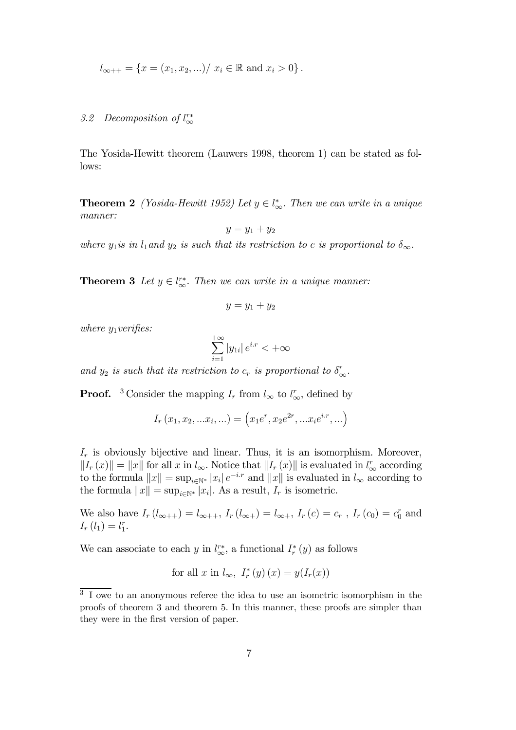$$
l_{\infty++} = \{x = (x_1, x_2, \ldots) / x_i \in \mathbb{R} \text{ and } x_i > 0\}.
$$

# 3.2 Decomposition of  $l_{\infty}^{r*}$

The Yosida-Hewitt theorem (Lauwers 1998, theorem 1) can be stated as follows:

**Theorem 2** *(Yosida-Hewitt 1952)* Let  $y \in l^*_{\infty}$ . Then we can write in a unique *manner:*

$$
y = y_1 + y_2
$$

*where*  $y_1$ *is in*  $l_1$ *and*  $y_2$  *is such that its restriction to c is proportional to*  $\delta_{\infty}$ *.* 

**Theorem 3** Let  $y \in l_{\infty}^{r*}$ . Then we can write in a unique manner:

$$
y = y_1 + y_2
$$

*where*  $y_1$  *verifies:* 

$$
\sum_{i=1}^{+\infty} |y_{1i}| \, e^{i.r} < +\infty
$$

and  $y_2$  *is such that its restriction to*  $c_r$  *is proportional to*  $\delta_{\infty}^r$ .

**Proof.** <sup>3</sup> Consider the mapping  $I_r$  from  $l_{\infty}$  to  $l_{\infty}^r$ , defined by

$$
I_r(x_1, x_2, ... x_i, ...) = (x_1e^r, x_2e^{2r}, ... x_ie^{ix}, ...)
$$

 $I_r$  is obviously bijective and linear. Thus, it is an isomorphism. Moreover,  $||I_r(x)|| = ||x||$  for all x in  $l_{\infty}$ . Notice that  $||I_r(x)||$  is evaluated in  $l_{\infty}^r$  according to the formula  $||x|| = \sup_{i \in \mathbb{N}^*} |x_i| e^{-ix}$  and  $||x||$  is evaluated in  $l_{\infty}$  according to the formula  $||x|| = \sup_{i \in \mathbb{N}^*} |x_i|$ . As a result,  $I_r$  is isometric.

We also have  $I_r(l_{\infty++}) = l_{\infty++}$ ,  $I_r(l_{\infty+}) = l_{\infty+}$ ,  $I_r(c) = c_r$ ,  $I_r(c_0) = c_0^r$  and  $I_r(l_1) = l_1^r.$ 

We can associate to each y in  $l_{\infty}^{r*}$ , a functional  $I_r^*(y)$  as follows

for all 
$$
x
$$
 in  $l_{\infty}$ ,  $I_r^*(y)(x) = y(I_r(x))$ 

<sup>&</sup>lt;sup>3</sup> I owe to an anonymous referee the idea to use an isometric isomorphism in the proofs of theorem 3 and theorem 5. In this manner, these proofs are simpler than they were in the first version of paper.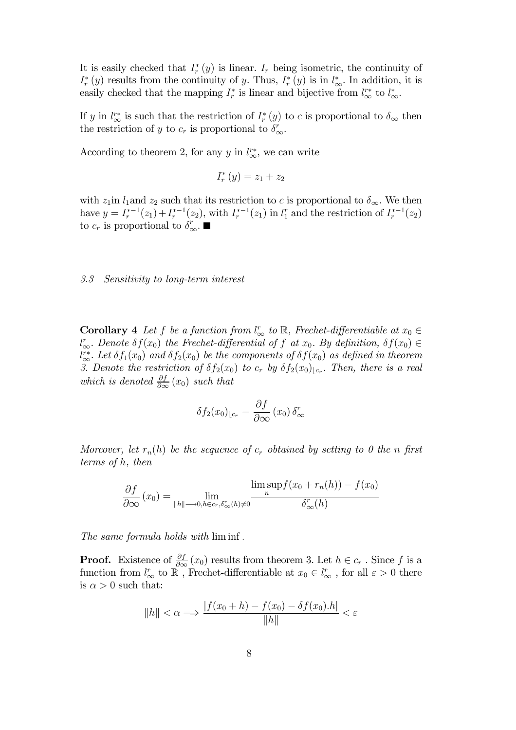It is easily checked that  $I_r^*(y)$  is linear.  $I_r$  being isometric, the continuity of  $I_r^*(y)$  results from the continuity of y. Thus,  $I_r^*(y)$  is in  $l_{\infty}^*$ . In addition, it is easily checked that the mapping  $I_r^*$  is linear and bijective from  $l_{\infty}^*$  to  $l_{\infty}^*$ .

If y in  $l^*_{\infty}$  is such that the restriction of  $I_r^*(y)$  to c is proportional to  $\delta_{\infty}$  then the restriction of y to  $c_r$  is proportional to  $\delta_{\infty}^r$ .

According to theorem 2, for any y in  $l_{\infty}^{r*}$ , we can write

$$
I_r^*\left(y\right) = z_1 + z_2
$$

with  $z_1$ in  $l_1$  and  $z_2$  such that its restriction to c is proportional to  $\delta_{\infty}$ . We then have  $y = I_r^{*-1}(z_1) + I_r^{*-1}(z_2)$ , with  $I_r^{*-1}(z_1)$  in  $l_1^r$  and the restriction of  $I_r^{*-1}(z_2)$ to  $c_r$  is proportional to  $\delta_{\infty}^r$ .

*3.3 Sensitivity to long-term interest*

**Corollary** 4 *Let*  $f$  *be a function from*  $l_{\infty}^{r}$  *to*  $\mathbb{R}$ *, Frechet-differentiable at*  $x_0 \in \mathbb{R}$  $l_{\infty}^r$ . Denote  $\delta f(x_0)$  the Frechet-differential of f at  $x_0$ . By definition,  $\delta f(x_0) \in$  $\int_{-\infty}^{r*} Let \delta f_1(x_0)$  *and*  $\delta f_2(x_0)$  *be the components of*  $\delta f(x_0)$  *as defined in theorem* 3. Denote the restriction of  $\delta f_2(x_0)$  to  $c_r$  by  $\delta f_2(x_0)_{\lfloor c_r\rfloor}$ . Then, there is a real *which is denoted*  $\frac{\partial f}{\partial \infty}(x_0)$  *such that* 

$$
\delta f_2(x_0)_{\lfloor c_r\rfloor} = \frac{\partial f}{\partial \infty} (x_0) \, \delta_\infty^r
$$

*Moreover, let*  $r_n(h)$  *be the sequence of*  $c_r$  *obtained by setting to 0 the n* first *terms of* h*, then*

$$
\frac{\partial f}{\partial \infty}(x_0) = \lim_{\|h\| \to 0, h \in c_r, \delta_{\infty}^r(h) \neq 0} \frac{\limsup_{n} f(x_0 + r_n(h)) - f(x_0)}{\delta_{\infty}^r(h)}
$$

*The same formula holds with* lim inf .

**Proof.** Existence of  $\frac{\partial f}{\partial \infty}(x_0)$  results from theorem 3. Let  $h \in c_r$ . Since f is a function from  $l^r_{\infty}$  to  $\widetilde{\mathbb{R}}$ , Frechet-differentiable at  $x_0 \in l^r_{\infty}$ , for all  $\varepsilon > 0$  there is  $\alpha > 0$  such that:

$$
||h|| < \alpha \Longrightarrow \frac{|f(x_0 + h) - f(x_0) - \delta f(x_0) \cdot h|}{||h||} < \varepsilon
$$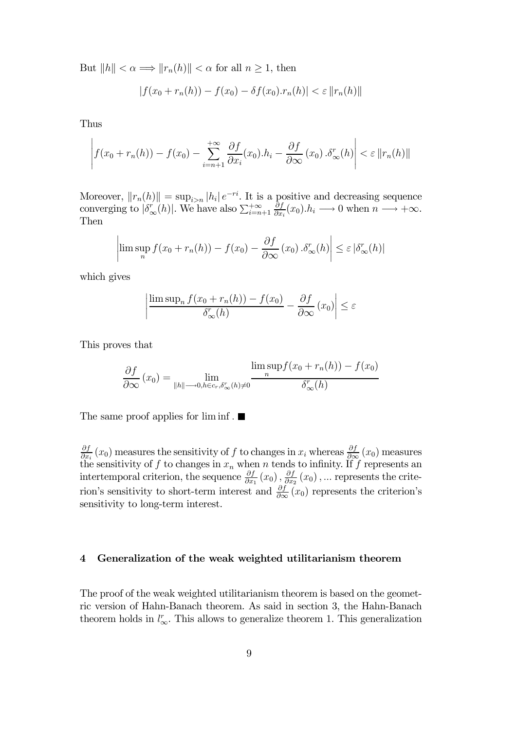But  $||h|| < \alpha \Longrightarrow ||r_n(h)|| < \alpha$  for all  $n \geq 1$ , then

$$
|f(x_0 + r_n(h)) - f(x_0) - \delta f(x_0) \cdot r_n(h)| < \varepsilon ||r_n(h)||
$$

Thus

$$
\left| f(x_0 + r_n(h)) - f(x_0) - \sum_{i=n+1}^{+\infty} \frac{\partial f}{\partial x_i}(x_0) \cdot h_i - \frac{\partial f}{\partial x_0}(x_0) \cdot \delta_{\infty}^r(h) \right| < \varepsilon \left\| r_n(h) \right\|
$$

Moreover,  $||r_n(h)|| = \sup_{i>n} |h_i| e^{-ri}$ . It is a positive and decreasing sequence converging to  $|\delta_{\infty}^r(h)|$ . We have also  $\sum_{i=n+1}^{+\infty}$ ∂f  $\frac{\partial f}{\partial x_i}(x_0).h_i \longrightarrow 0$  when  $n \longrightarrow +\infty$ . Then

$$
\limsup_{n} f(x_0 + r_n(h)) - f(x_0) - \frac{\partial f}{\partial \infty}(x_0) \cdot \delta_{\infty}^r(h) \le \varepsilon |\delta_{\infty}^r(h)|
$$

which gives

¯  $\mathbf{\mathbf{I}}$  $\mathsf{I}$  $\mathsf{I}$  $\begin{array}{c} \end{array}$ 

$$
\left| \frac{\limsup_{n} f(x_0 + r_n(h)) - f(x_0)}{\delta_{\infty}^r(h)} - \frac{\partial f}{\partial \infty} (x_0) \right| \le \varepsilon
$$

This proves that

$$
\frac{\partial f}{\partial \infty}(x_0) = \lim_{\|h\| \to 0, h \in c_r, \delta_{\infty}^r(h) \neq 0} \frac{\limsup_{n} f(x_0 + r_n(h)) - f(x_0)}{\delta_{\infty}^r(h)}
$$

The same proof applies for  $\liminf$ .

∂f  $\frac{\partial f}{\partial x_i}(x_0)$  measures the sensitivity of f to changes in  $x_i$  whereas  $\frac{\partial f}{\partial x_i}(x_0)$  measures the sensitivity of f to changes in  $x_n$  when n tends to infinity. If f represents an intertemporal criterion, the sequence  $\frac{\partial f}{\partial x_1}(x_0)$ ,  $\frac{\partial f}{\partial x_2}$  $\frac{\partial J}{\partial x_2}(x_0)$ , ... represents the criterion's sensitivity to short-term interest and  $\frac{\partial f}{\partial \infty}(x_0)$  represents the criterion's sensitivity to long-term interest.

# 4 Generalization of the weak weighted utilitarianism theorem

The proof of the weak weighted utilitarianism theorem is based on the geometric version of Hahn-Banach theorem. As said in section 3, the Hahn-Banach theorem holds in  $l_{\infty}^{r}$ . This allows to generalize theorem 1. This generalization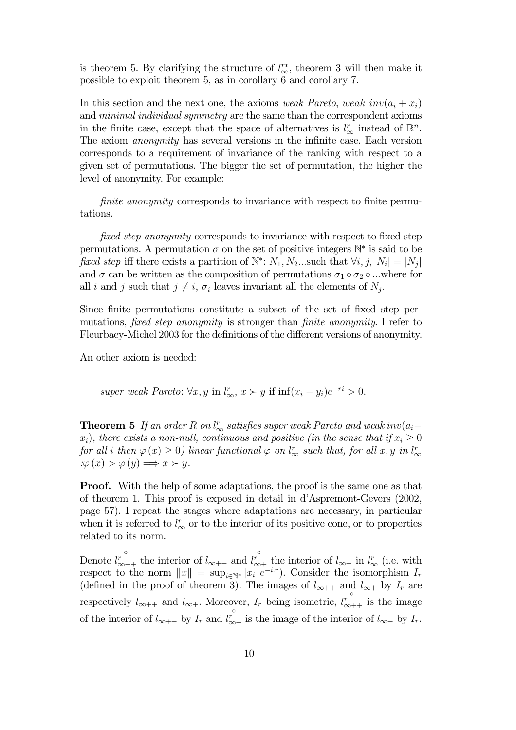is theorem 5. By clarifying the structure of  $l_{\infty}^{r*}$ , theorem 3 will then make it possible to exploit theorem 5, as in corollary 6 and corollary 7.

In this section and the next one, the axioms *weak Pareto*, weak  $inv(a_i + x_i)$ and *minimal individual symmetry* are the same than the correspondent axioms in the finite case, except that the space of alternatives is  $l_{\infty}^{r}$  instead of  $\mathbb{R}^{n}$ . The axiom *anonymity* has several versions in the infinite case. Each version corresponds to a requirement of invariance of the ranking with respect to a given set of permutations. The bigger the set of permutation, the higher the level of anonymity. For example:

fi*nite anonymity* corresponds to invariance with respect to finite permutations.

fi*xed step anonymity* corresponds to invariance with respect to fixed step permutations. A permutation  $\sigma$  on the set of positive integers  $\mathbb{N}^*$  is said to be fixed step iff there exists a partition of  $\mathbb{N}^*$ :  $N_1, N_2$ ...such that  $\forall i, j, |N_i| = |N_j|$ and  $\sigma$  can be written as the composition of permutations  $\sigma_1 \circ \sigma_2 \circ ...$  where for all i and j such that  $j \neq i$ ,  $\sigma_i$  leaves invariant all the elements of  $N_j$ .

Since finite permutations constitute a subset of the set of fixed step permutations, fi*xed step anonymity* is stronger than fi*nite anonymity*. I refer to Fleurbaey-Michel 2003 for the definitions of the different versions of anonymity.

An other axiom is needed:

super weak Pareto: 
$$
\forall x, y
$$
 in  $l_{\infty}^r$ ,  $x \succ y$  if inf $(x_i - y_i)e^{-ri} > 0$ .

**Theorem 5** If an order R on  $l_{\infty}^r$  satisfies super weak Pareto and weak inv $(a_i + \alpha_i)$  $(x_i)$ , there exists a non-null, continuous and positive (in the sense that if  $x_i \geq 0$  $for \ all \ i \ then \ \varphi(x) \geq 0) \ linear \ functional \ \varphi \ \ on \ l^r_\infty \ \ such \ that, \ for \ all \ x, y \ in \ l^r_\infty$ ∞  $\chi \varphi(x) > \varphi(y) \Longrightarrow x \succ y.$ 

**Proof.** With the help of some adaptations, the proof is the same one as that of theorem 1. This proof is exposed in detail in d'Aspremont-Gevers (2002, page 57). I repeat the stages where adaptations are necessary, in particular when it is referred to  $l_{\infty}^{r}$  or to the interior of its positive cone, or to properties related to its norm.

Denote  $l^r_{\infty++}$  the interior of  $l_{\infty++}$  and  $l^{r^{\circ}}_{\infty+}$  the interior of  $l_{\infty+}$  in  $l^r_{\infty}$  (i.e. with respect to the norm  $||x|| = \sup_{i \in \mathbb{N}^*} |x_i| e^{-i \cdot x}$ . Consider the isomorphism  $I_r$ (defined in the proof of theorem 3). The images of  $l_{\infty++}$  and  $l_{\infty+}$  by  $I_r$  are respectively  $l_{\infty++}$  and  $l_{\infty+}$ . Moreover,  $I_r$  being isometric,  $l_{\infty++}^{\circ}$  is the image of the interior of  $l_{\infty++}$  by  $I_r$  and  $\overline{l}_{\infty+}^{\circ}$  is the image of the interior of  $l_{\infty+}$  by  $I_r$ .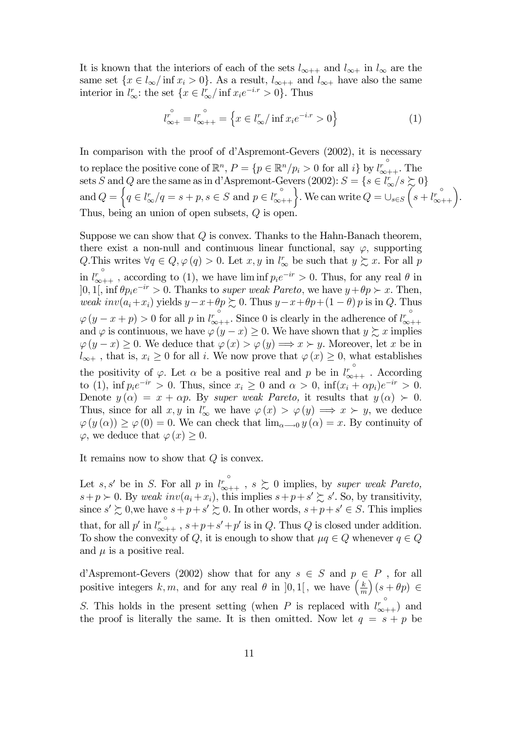It is known that the interiors of each of the sets  $l_{\infty++}$  and  $l_{\infty+}$  in  $l_{\infty}$  are the same set  $\{x \in l_{\infty}/\inf x_i > 0\}$ . As a result,  $l_{\infty++}$  and  $l_{\infty+}$  have also the same interior in  $l_{\infty}^r$ : the set  $\{x \in l_{\infty}^r / \inf x_i e^{-i \cdot r} > 0\}$ . Thus

$$
l_{\infty+}^{\circ} = l_{\infty++}^{\circ} = \left\{ x \in l_{\infty}^{r} / \inf x_{i} e^{-i \cdot x} > 0 \right\}
$$
 (1)

In comparison with the proof of d'Aspremont-Gevers (2002), it is necessary to replace the positive cone of  $\mathbb{R}^n$ ,  $P = \{p \in \mathbb{R}^n/p_i > 0 \text{ for all } i\}$  by  $l_{\infty++}^{\circ}$ . The sets S and Q are the same as in d'Aspremont-Gevers (2002):  $S = \{s \in l^r_{\infty}/s \succsim 0\}$ and  $Q = \left\{ q \in l^r_\infty / q = s + p, s \in S \text{ and } p \in l^r_\infty + \right\}.$  We can write  $Q = \bigcup_{s \in S} \left( s + l^r_\infty + \right)$ . Thus, being an union of open subsets,  $Q$  is open.

Suppose we can show that  $Q$  is convex. Thanks to the Hahn-Banach theorem, there exist a non-null and continuous linear functional, say  $\varphi$ , supporting Q. This writes  $\forall q \in Q, \varphi(q) > 0$ . Let  $x, y$  in  $l^r_\infty$  be such that  $y \succsim x$ . For all p in  $l^r_{\infty++}$ , according to (1), we have  $\liminf p_i e^{-ir} > 0$ . Thus, for any real  $\theta$  in  $]0,1[$ , inf  $\theta p_i e^{-ir} > 0$ . Thanks to *super weak Pareto*, we have  $y + \theta p > x$ . Then, *weak*  $inv(a_i+x_i)$  yields  $y-x+\theta p \succeq 0$ . Thus  $y-x+\theta p+(1-\theta)p$  is in  $Q$ . Thus  $\varphi(y-x+p) > 0$  for all p in  $l^{\circ}_{\infty++}$ . Since 0 is clearly in the adherence of  $l^{\circ}_{\infty++}$ and  $\varphi$  is continuous, we have  $\varphi(y-x) \geq 0$ . We have shown that  $y \succsim x$  implies  $\varphi(y-x) \geq 0$ . We deduce that  $\varphi(x) > \varphi(y) \Longrightarrow x \succ y$ . Moreover, let x be in  $l_{\infty+}$ , that is,  $x_i \geq 0$  for all i. We now prove that  $\varphi(x) \geq 0$ , what establishes the positivity of  $\varphi$ . Let  $\alpha$  be a positive real and p be in  $l_{\infty++}^{\circ}$ . According to (1),  $\inf p_i e^{-ir} > 0$ . Thus, since  $x_i \geq 0$  and  $\alpha > 0$ ,  $\inf (x_i + \alpha p_i) e^{-ir} > 0$ . Denote  $y(\alpha) = x + \alpha p$ . By *super weak Pareto*, it results that  $y(\alpha) > 0$ . Thus, since for all  $x, y$  in  $l^r_\infty$  we have  $\varphi(x) > \varphi(y) \implies x \succ y$ , we deduce  $\varphi(y(\alpha)) \geq \varphi(0) = 0$ . We can check that  $\lim_{\alpha \to 0} y(\alpha) = x$ . By continuity of  $\varphi$ , we deduce that  $\varphi(x) \geq 0$ .

It remains now to show that  $Q$  is convex.

Let s, s' be in S. For all p in  $l_{\infty++}^{\circ}$ ,  $s \gtrsim 0$  implies, by *super weak Pareto*,  $s+p\succ 0$ . By weak  $inv(a_i+x_i)$ , this implies  $s+p+s'\succeq s'$ . So, by transitivity, since  $s' \gtrsim 0$ , we have  $s+p+s' \gtrsim 0$ . In other words,  $s+p+s' \in S$ . This implies that, for all p' in  $l_{\infty++}^{\circ}$ ,  $s+p+s'+p'$  is in Q. Thus Q is closed under addition. To show the convexity of Q, it is enough to show that  $\mu q \in Q$  whenever  $q \in Q$ and  $\mu$  is a positive real.

d'Aspremont-Gevers (2002) show that for any  $s \in S$  and  $p \in P$ , for all positive integers k, m, and for any real  $\theta$  in [0, 1], we have  $\left(\frac{k}{m}\right)$ m  $(s + \theta p) \in$ S. This holds in the present setting (when P is replaced with  $l^{\circ}_{\infty++}$ ) and the proof is literally the same. It is then omitted. Now let  $q = s + p$  be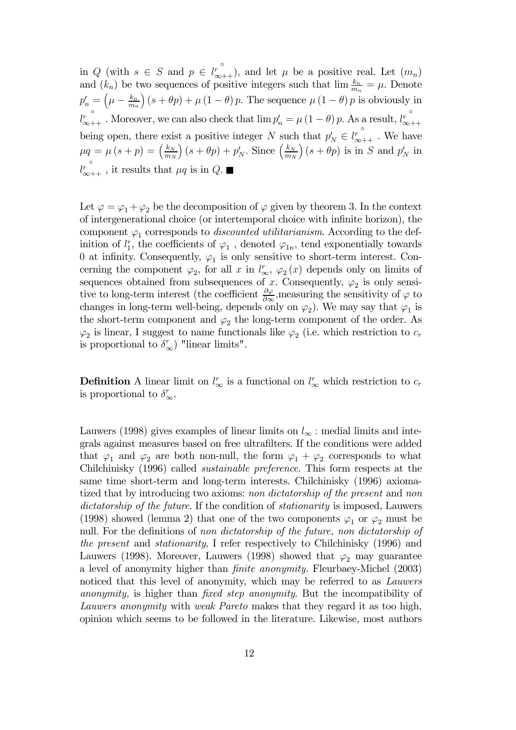in Q (with  $s \in S$  and  $p \in \left\{r^{\circ}_{\infty + 1}\right\}$ , and let  $\mu$  be a positive real. Let  $(m_n)$ and  $(k_n)$  be two sequences of positive integers such that  $\lim_{m_n} \frac{k_n}{m_n} = \mu$ . Denote  $p'_n = \left(\mu - \frac{k_n}{m_n}\right)$  $m_n$  $(S + \theta p) + \mu (1 - \theta) p$ . The sequence  $\mu (1 - \theta) p$  is obviously in  $l_{\infty++}^r$ . Moreover, we can also check that  $\lim p'_n = \mu(1-\theta)p$ . As a result,  $l_{\infty++}^{\circ}$ being open, there exist a positive integer N such that  $p'_N \in$  $l^r_{\infty++}$  . We have  $\mu q = \mu (s+p) = \left(\frac{k_N}{m} \right)$  $m_N$  $\left( s + \theta p \right) + p'_N$ . Since  $\left( \frac{k_N}{m_N} \right)$  $m_N$  $\Big)$   $(s + \theta p)$  is in S and  $p'_{N}$  in  $l_{\infty++}^r$ , it results that  $\mu q$  is in Q.

Let  $\varphi = \varphi_1 + \varphi_2$  be the decomposition of  $\varphi$  given by theorem 3. In the context of intergenerational choice (or intertemporal choice with infinite horizon), the component  $\varphi_1$  corresponds to *discounted utilitarianism*. According to the definition of  $l_1^r$ , the coefficients of  $\varphi_1$ , denoted  $\varphi_{1n}$ , tend exponentially towards 0 at infinity. Consequently,  $\varphi_1$  is only sensitive to short-term interest. Concerning the component  $\varphi_2$ , for all x in  $l^r_{\infty}$ ,  $\varphi_2(x)$  depends only on limits of sequences obtained from subsequences of x. Consequently,  $\varphi_2$  is only sensitive to long-term interest (the coefficient  $\frac{\partial \varphi}{\partial \infty}$ , measuring the sensitivity of  $\varphi$  to changes in long-term well-being, depends only on  $\varphi_2$ ). We may say that  $\varphi_1$  is the short-term component and  $\varphi_2$  the long-term component of the order. As  $\varphi_2$  is linear, I suggest to name functionals like  $\varphi_2$  (i.e. which restriction to  $c_r$ is proportional to  $\delta_{\infty}^r$ ) "linear limits".

**Definition** A linear limit on  $l^r_{\infty}$  is a functional on  $l^r_{\infty}$  which restriction to  $c_r$ is proportional to  $\delta_{\infty}^r$ .

Lauwers (1998) gives examples of linear limits on  $l_{\infty}$ : medial limits and integrals against measures based on free ultrafilters. If the conditions were added that  $\varphi_1$  and  $\varphi_2$  are both non-null, the form  $\varphi_1 + \varphi_2$  corresponds to what Chilchinisky (1996) called *sustainable preference*. This form respects at the same time short-term and long-term interests. Chilchinisky (1996) axiomatized that by introducing two axioms: *non dictatorship of the present* and *non dictatorship of the future*. If the condition of *stationarity* is imposed, Lauwers (1998) showed (lemma 2) that one of the two components  $\varphi_1$  or  $\varphi_2$  must be null. For the definitions of *non dictatorship of the future, non dictatorship of the present* and *stationarity*, I refer respectively to Chilchinisky (1996) and Lauwers (1998). Moreover, Lauwers (1998) showed that  $\varphi_2$  may guarantee a level of anonymity higher than fi*nite anonymity.* Fleurbaey-Michel (2003) noticed that this level of anonymity, which may be referred to as *Lauwers anonymity,* is higher than fi*xed step anonymity*. But the incompatibility of *Lauwers anonymity* with *weak Pareto* makes that they regard it as too high, opinion which seems to be followed in the literature. Likewise, most authors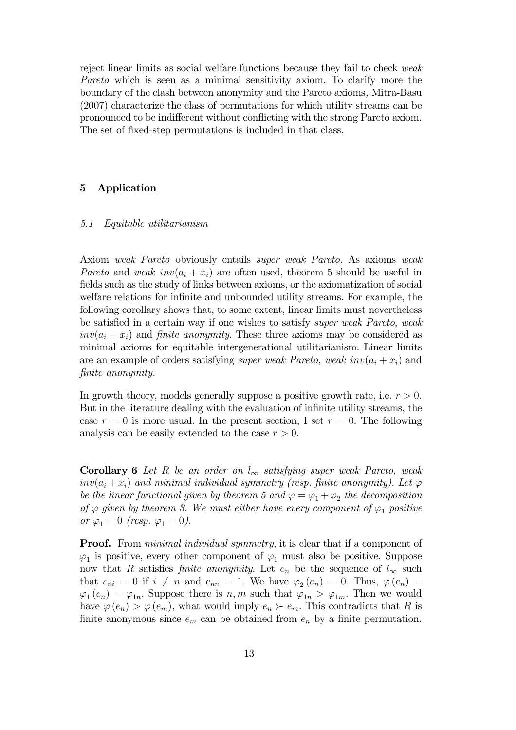reject linear limits as social welfare functions because they fail to check *weak Pareto* which is seen as a minimal sensitivity axiom*.* To clarify more the boundary of the clash between anonymity and the Pareto axioms*,* Mitra-Basu (2007) characterize the class of permutations for which utility streams can be pronounced to be indifferent without conflicting with the strong Pareto axiom. The set of fixed-step permutations is included in that class.

# 5 Application

#### *5.1 Equitable utilitarianism*

Axiom *weak Pareto* obviously entails *super weak Pareto.* As axioms *weak Pareto* and *weak*  $inv(a_i + x_i)$  are often used, theorem 5 should be useful in fields such as the study of links between axioms, or the axiomatization of social welfare relations for infinite and unbounded utility streams. For example, the following corollary shows that, to some extent, linear limits must nevertheless be satisfied in a certain way if one wishes to satisfy *super weak Pareto*, *weak*  $inv(a_i + x_i)$  and *finite anonymity*. These three axioms may be considered as minimal axioms for equitable intergenerational utilitarianism. Linear limits are an example of orders satisfying *super weak Pareto, weak*  $inv(a_i + x_i)$  and fi*nite anonymity.*

In growth theory, models generally suppose a positive growth rate, i.e.  $r > 0$ . But in the literature dealing with the evaluation of infinite utility streams, the case  $r = 0$  is more usual. In the present section, I set  $r = 0$ . The following analysis can be easily extended to the case  $r > 0$ .

Corollary 6 *Let* R *be an order on* l<sup>∞</sup> *satisfying super weak Pareto, weak*  $inv(a_i + x_i)$  and minimal individual symmetry (resp. finite anonymity). Let  $\varphi$ *be the linear functional given by theorem 5 and*  $\varphi = \varphi_1 + \varphi_2$  *the decomposition of*  $\varphi$  *given by theorem 3. We must either have every component of*  $\varphi_1$  *positive or*  $\varphi_1 = 0$  *(resp.*  $\varphi_1 = 0$ *).* 

**Proof.** From *minimal individual symmetry*, it is clear that if a component of  $\varphi_1$  is positive, every other component of  $\varphi_1$  must also be positive. Suppose now that R satisfies *finite anonymity*. Let  $e_n$  be the sequence of  $l_{\infty}$  such that  $e_{ni} = 0$  if  $i \neq n$  and  $e_{nn} = 1$ . We have  $\varphi_2(e_n) = 0$ . Thus,  $\varphi(e_n) = 0$  $\varphi_1(e_n) = \varphi_{1n}$ . Suppose there is  $n, m$  such that  $\varphi_{1n} > \varphi_{1m}$ . Then we would have  $\varphi(e_n) > \varphi(e_m)$ , what would imply  $e_n \succ e_m$ . This contradicts that R is finite anonymous since  $e_m$  can be obtained from  $e_n$  by a finite permutation.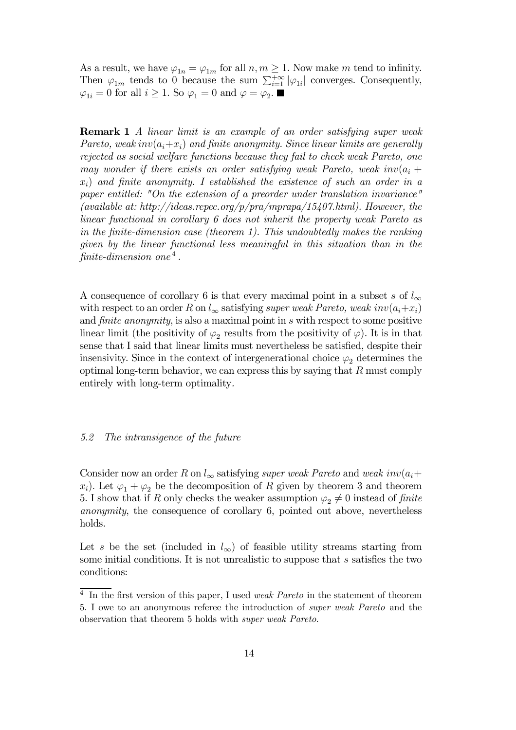As a result, we have  $\varphi_{1n} = \varphi_{1m}$  for all  $n, m \geq 1$ . Now make m tend to infinity. Then  $\varphi_{1m}$  tends to 0 because the sum  $\sum_{i=1}^{+\infty} |\varphi_{1i}|$  converges. Consequently,  $\varphi_{1i} = 0$  for all  $i \geq 1$ . So  $\varphi_1 = 0$  and  $\varphi = \varphi_2$ .

Remark 1 *A linear limit is an example of an order satisfying super weak Pareto, weak inv* $(a_i+x_i)$  *and finite anonymity. Since linear limits are generally rejected as social welfare functions because they fail to check weak Pareto, one may wonder if there exists an order satisfying weak Pareto, weak inv* $(a_i + a_j)$ xi) *and* fi*nite anonymity. I established the existence of such an order in a paper entitled: "On the extension of a preorder under translation invariance" (available at: http://ideas.repec.org/p/pra/mprapa/15407.html). However, the linear functional in corollary 6 does not inherit the property weak Pareto as in the* fi*nite-dimension case (theorem 1). This undoubtedly makes the ranking given by the linear functional less meaningful in this situation than in the* fi*nite-dimension one* <sup>4</sup> *.*

A consequence of corollary 6 is that every maximal point in a subset s of  $l_{\infty}$ with respect to an order R on  $l_{\infty}$  satisfying *super weak Pareto, weak inv* $(a_i+x_i)$ and fi*nite anonymity*, is also a maximal point in s with respect to some positive linear limit (the positivity of  $\varphi_2$  results from the positivity of  $\varphi$ ). It is in that sense that I said that linear limits must nevertheless be satisfied, despite their insensivity. Since in the context of intergenerational choice  $\varphi_2$  determines the optimal long-term behavior, we can express this by saying that  $R$  must comply entirely with long-term optimality*.*

### *5.2 The intransigence of the future*

Consider now an order R on  $l_{\infty}$  satisfying *super weak Pareto* and *weak*  $inv(a_i +$  $x_i$ ). Let  $\varphi_1 + \varphi_2$  be the decomposition of R given by theorem 3 and theorem 5. I show that if R only checks the weaker assumption  $\varphi_2 \neq 0$  instead of *finite anonymity*, the consequence of corollary 6, pointed out above, nevertheless holds.

Let s be the set (included in  $l_{\infty}$ ) of feasible utility streams starting from some initial conditions. It is not unrealistic to suppose that s satisfies the two conditions:

<sup>4</sup> In the first version of this paper, I used *weak Pareto* in the statement of theorem 5. I owe to an anonymous referee the introduction of *super weak Pareto* and the observation that theorem 5 holds with *super weak Pareto*.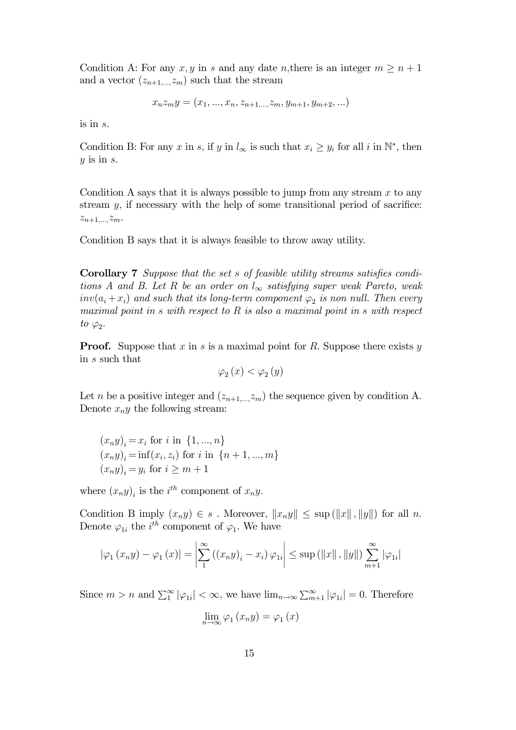Condition A: For any  $x, y$  in s and any date n, there is an integer  $m \geq n+1$ and a vector  $(z_{n+1,\dots,z_m})$  such that the stream

$$
x_n z_m y = (x_1, ..., x_n, z_{n+1,...,} z_m, y_{m+1}, y_{m+2}, ...)
$$

is in s.

Condition B: For any x in s, if y in  $l_{\infty}$  is such that  $x_i \geq y_i$  for all i in  $\mathbb{N}^*$ , then  $y$  is in  $s$ .

Condition A says that it is always possible to jump from any stream  $x$  to any stream  $y$ , if necessary with the help of some transitional period of sacrifice:  $z_{n+1,...,z_m}$ .

Condition B says that it is always feasible to throw away utility.

Corollary 7 *Suppose that the set* s *of feasible utility streams satis*fi*es conditions A and B. Let* R *be an order on*  $l_{\infty}$  *satisfying super weak Pareto, weak*  $inv(a_i + x_i)$  and such that its long-term component  $\varphi_2$  is non null. Then every *maximal point in* s *with respect to* R *is also a maximal point in* s *with respect*  $to \varphi_2$ .

**Proof.** Suppose that x in s is a maximal point for R. Suppose there exists y in s such that

$$
\varphi_2(x) < \varphi_2(y)
$$

Let *n* be a positive integer and  $(z_{n+1,\dots,z_m})$  the sequence given by condition A. Denote  $x_n y$  the following stream:

$$
(x_n y)_i = x_i
$$
 for *i* in  $\{1, ..., n\}$   
\n $(x_n y)_i = inf(x_i, z_i)$  for *i* in  $\{n + 1, ..., m\}$   
\n $(x_n y)_i = y_i$  for  $i \ge m + 1$ 

where  $(x_n y)_i$  is the *i*<sup>th</sup> component of  $x_n y$ .

Condition B imply  $(x_n y) \in s$ . Moreover,  $||x_n y|| \leq \sup (||x||, ||y||)$  for all n. Denote  $\varphi_{1i}$  the  $i^{th}$  component of  $\varphi_1$ . We have

$$
|\varphi_1 (x_n y) - \varphi_1 (x)| = \left| \sum_{1}^{\infty} ((x_n y)_i - x_i) \varphi_{1i} \right| \le \sup (||x||, ||y||) \sum_{m+1}^{\infty} |\varphi_{1i}|
$$

Since  $m > n$  and  $\sum_{1}^{\infty} |\varphi_{1i}| < \infty$ , we have  $\lim_{n \to \infty} \sum_{m=1}^{\infty} |\varphi_{1i}| = 0$ . Therefore

$$
\lim_{n \to \infty} \varphi_1(x_n y) = \varphi_1(x)
$$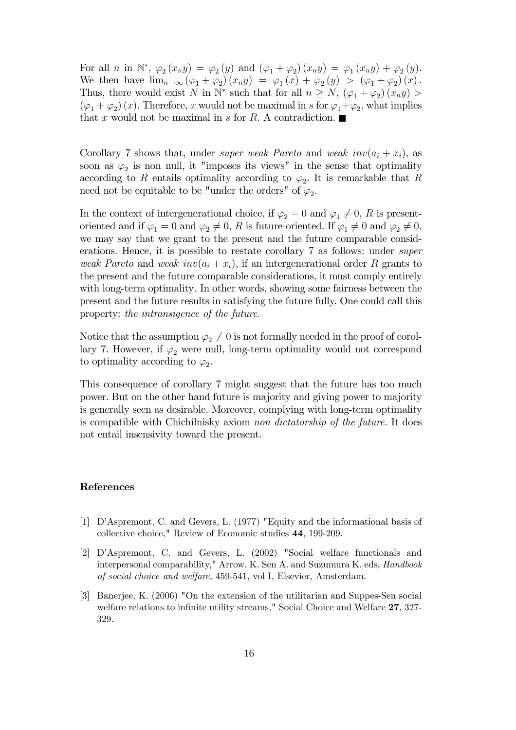For all *n* in  $\mathbb{N}^*, \varphi_2(x_n y) = \varphi_2(y)$  and  $(\varphi_1 + \varphi_2)(x_n y) = \varphi_1(x_n y) + \varphi_2(y)$ . We then have  $\lim_{n\to\infty} (\varphi_1 + \varphi_2)(x_n y) = \varphi_1(x) + \varphi_2(y) > (\varphi_1 + \varphi_2)(x)$ . Thus, there would exist N in  $\mathbb{N}^*$  such that for all  $n \geq N$ ,  $(\varphi_1 + \varphi_2)(x_n y)$  $(\varphi_1 + \varphi_2)(x)$ . Therefore, x would not be maximal in s for  $\varphi_1 + \varphi_2$ , what implies that x would not be maximal in s for R. A contradiction.  $\blacksquare$ 

Corollary 7 shows that, under *super weak Pareto* and *weak*  $inv(a_i + x_i)$ , as soon as  $\varphi_2$  is non null, it "imposes its views" in the sense that optimality according to R entails optimality according to  $\varphi_2$ . It is remarkable that R need not be equitable to be "under the orders" of  $\varphi_2$ .

In the context of intergenerational choice, if  $\varphi_2 = 0$  and  $\varphi_1 \neq 0$ , R is presentoriented and if  $\varphi_1 = 0$  and  $\varphi_2 \neq 0$ , R is future-oriented. If  $\varphi_1 \neq 0$  and  $\varphi_2 \neq 0$ , we may say that we grant to the present and the future comparable considerations. Hence, it is possible to restate corollary 7 as follows: under *super weak Pareto* and *weak*  $inv(a_i + x_i)$ , if an intergenerational order R grants to the present and the future comparable considerations, it must comply entirely with long-term optimality*.* In other words, showing some fairness between the present and the future results in satisfying the future fully. One could call this property: *the intransigence of the future.*

Notice that the assumption  $\varphi_2 \neq 0$  is not formally needed in the proof of corollary 7. However, if  $\varphi_2$  were null, long-term optimality would not correspond to optimality according to  $\varphi_2$ .

This consequence of corollary 7 might suggest that the future has too much power. But on the other hand future is majority and giving power to majority is generally seen as desirable. Moreover, complying with long-term optimality is compatible with Chichilnisky axiom *non dictatorship of the future.* It does not entail insensivity toward the present.

## References

- [1] D'Aspremont, C. and Gevers, L. (1977) "Equity and the informational basis of collective choice," Review of Economic studies 44, 199-209.
- [2] D'Aspremont, C. and Gevers, L. (2002) "Social welfare functionals and interpersonal comparability," Arrow, K. Sen A. and Suzumura K. eds, *Handbook of social choice and welfare*, 459-541, vol I, Elsevier, Amsterdam.
- [3] Banerjee, K. (2006) "On the extension of the utilitarian and Suppes-Sen social welfare relations to infinite utility streams," Social Choice and Welfare 27, 327-329.